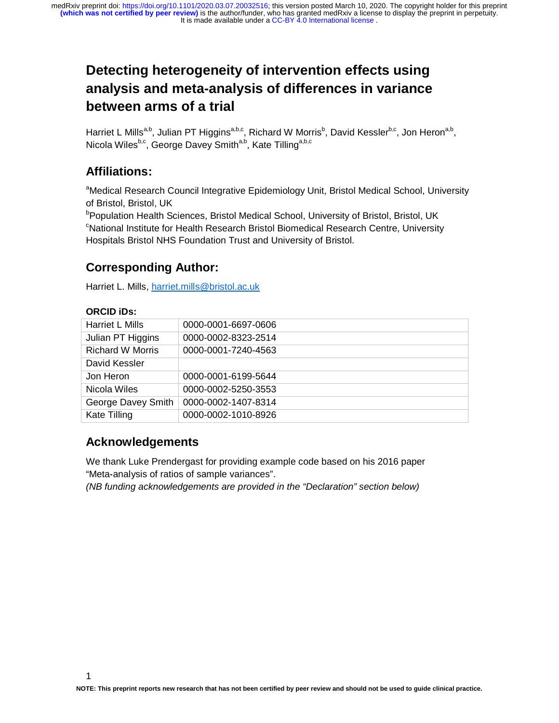# **Detecting heterogeneity of intervention effects using analysis and meta-analysis of differences in variance between arms of a trial**

Harriet L Mills<sup>a,b</sup>, Julian PT Higgins<sup>a,b,c</sup>, Richard W Morris<sup>b</sup>, David Kessler<sup>b,c</sup>, Jon Heron<sup>a,b</sup>, Nicola Wiles<sup>b,c</sup>, George Davey Smith<sup>a,b</sup>, Kate Tilling<sup>a,b,c</sup>

### **Affiliations:**

<sup>a</sup>Medical Research Council Integrative Epidemiology Unit, Bristol Medical School, University of Bristol, Bristol, UK

<sup>b</sup>Population Health Sciences, Bristol Medical School, University of Bristol, Bristol, UK <sup>c</sup>National Institute for Health Research Bristol Biomedical Research Centre, University Hospitals Bristol NHS Foundation Trust and University of Bristol.

# **Corresponding Author:**

Harriet L. Mills, harriet.mills@bristol.ac.uk

| <b>ORCID IDS:</b> |  |
|-------------------|--|
|-------------------|--|

| Harriet L Mills         | 0000-0001-6697-0606 |
|-------------------------|---------------------|
| Julian PT Higgins       | 0000-0002-8323-2514 |
| <b>Richard W Morris</b> | 0000-0001-7240-4563 |
| David Kessler           |                     |
| Jon Heron               | 0000-0001-6199-5644 |
| Nicola Wiles            | 0000-0002-5250-3553 |
| George Davey Smith      | 0000-0002-1407-8314 |
| <b>Kate Tilling</b>     | 0000-0002-1010-8926 |

### **Acknowledgements**

We thank Luke Prendergast for providing example code based on his 2016 paper "Meta-analysis of ratios of sample variances".

-analysis of ratios of sample variances".<br>*unding acknowledgements are provided*<br> *(NB funding acknowledgements are provided in the "Declaration" section below)*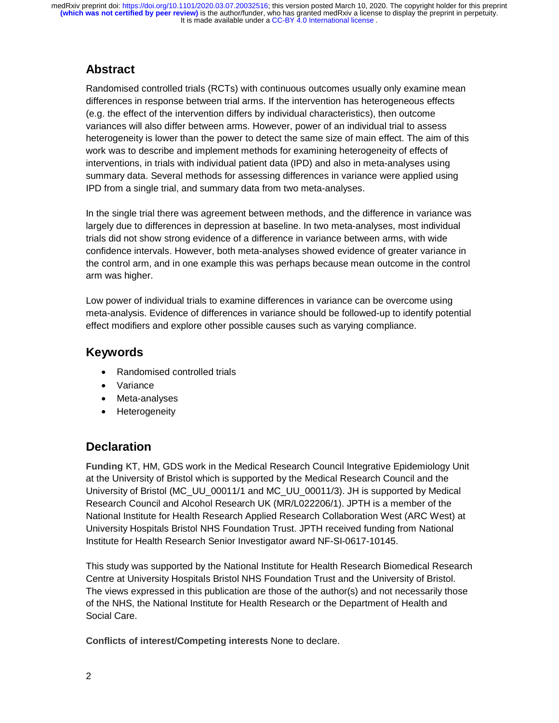## **Abstract**

Randomised controlled trials (RCTs) with continuous outcomes usually only examine mean differences in response between trial arms. If the intervention has heterogeneous effects (e.g. the effect of the intervention differs by individual characteristics), then outcome variances will also differ between arms. However, power of an individual trial to assess heterogeneity is lower than the power to detect the same size of main effect. The aim of this work was to describe and implement methods for examining heterogeneity of effects of interventions, in trials with individual patient data (IPD) and also in meta-analyses using summary data. Several methods for assessing differences in variance were applied using IPD from a single trial, and summary data from two meta-analyses.

In the single trial there was agreement between methods, and the difference in variance was largely due to differences in depression at baseline. In two meta-analyses, most individual trials did not show strong evidence of a difference in variance between arms, with wide confidence intervals. However, both meta-analyses showed evidence of greater variance in the control arm, and in one example this was perhaps because mean outcome in the control arm was higher.

Low power of individual trials to examine differences in variance can be overcome using meta-analysis. Evidence of differences in variance should be followed-up to identify potential effect modifiers and explore other possible causes such as varying compliance.

### **Keywords**

- Randomised controlled trials
- **Variance**
- Meta-analyses
- **Heterogeneity**

### **Declaration**

**Funding** KT, HM, GDS work in the Medical Research Council Integrative Epidemiology Unit at the University of Bristol which is supported by the Medical Research Council and the University of Bristol (MC\_UU\_00011/1 and MC\_UU\_00011/3). JH is supported by Medical Research Council and Alcohol Research UK (MR/L022206/1). JPTH is a member of the National Institute for Health Research Applied Research Collaboration West (ARC West) at University Hospitals Bristol NHS Foundation Trust. JPTH received funding from National Institute for Health Research Senior Investigator award NF-SI-0617-10145.

This study was supported by the National Institute for Health Research Biomedical Research Centre at University Hospitals Bristol NHS Foundation Trust and the University of Bristol. The views expressed in this publication are those of the author(s) and not necessarily those of the NHS, the National Institute for Health Research or the Department of Health and Social Care.

**Conflicts of interest/Competing interests** None to declare.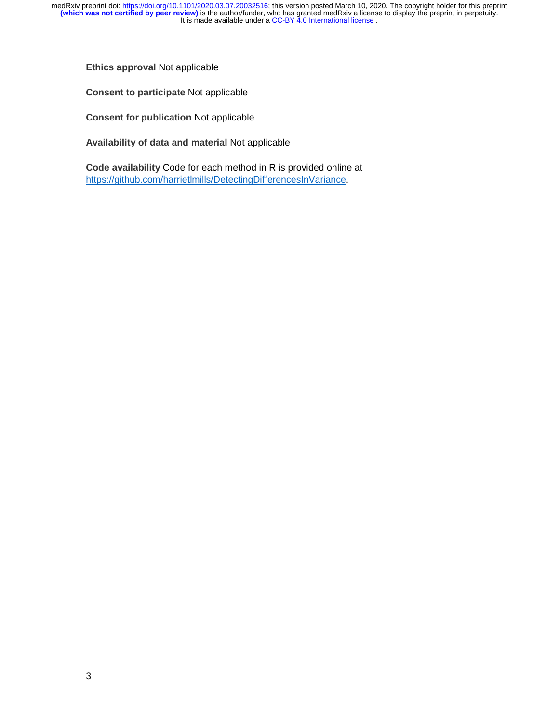**Ethics approval** Not applicable

**Consent to participate** Not applicable

**Consent for publication** Not applicable

**Availability of data and material** Not applicable

**Code availability** Code for each method in R is provided online at https://github.com/harrietlmills/DetectingDifferencesInVariance.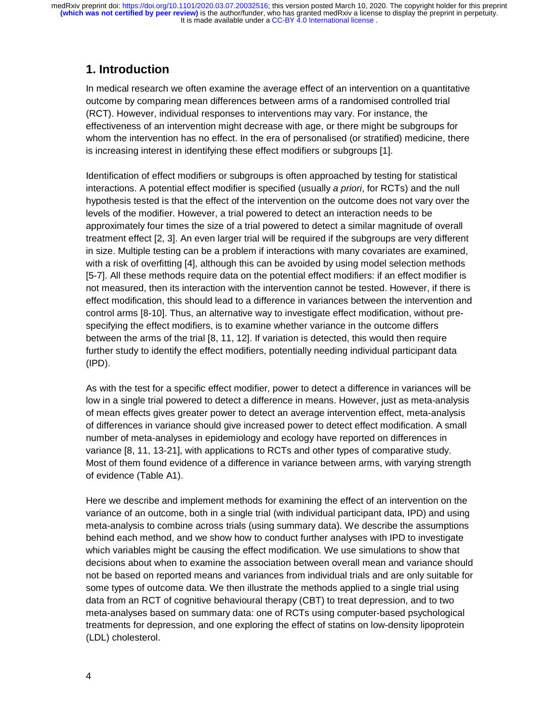It is made available under a CC-BY 4.0 International license. **(which was not certified by peer review)** is the author/funder, who has granted medRxiv a license to display the preprint in perpetuity. medRxiv preprint doi: [https://doi.org/10.1101/2020.03.07.20032516;](https://doi.org/10.1101/2020.03.07.20032516) this version posted March 10, 2020. The copyright holder for this preprint

### **1. Introduction**

In medical research we often examine the average effect of an intervention on a quantitative outcome by comparing mean differences between arms of a randomised controlled trial (RCT). However, individual responses to interventions may vary. For instance, the effectiveness of an intervention might decrease with age, or there might be subgroups for whom the intervention has no effect. In the era of personalised (or stratified) medicine, there is increasing interest in identifying these effect modifiers or subgroups [1].

Identification of effect modifiers or subgroups is often approached by testing for statistical interactions. A potential effect modifier is specified (usually *a priori*, for RCTs) and the null hypothesis tested is that the effect of the intervention on the outcome does not vary over the levels of the modifier. However, a trial powered to detect an interaction needs to be approximately four times the size of a trial powered to detect a similar magnitude of overall treatment effect [2, 3]. An even larger trial will be required if the subgroups are very different in size. Multiple testing can be a problem if interactions with many covariates are examined, with a risk of overfitting [4], although this can be avoided by using model selection methods [5-7]. All these methods require data on the potential effect modifiers: if an effect modifier is not measured, then its interaction with the intervention cannot be tested. However, if there is effect modification, this should lead to a difference in variances between the intervention and control arms [8-10]. Thus, an alternative way to investigate effect modification, without prespecifying the effect modifiers, is to examine whether variance in the outcome differs between the arms of the trial [8, 11, 12]. If variation is detected, this would then require further study to identify the effect modifiers, potentially needing individual participant data (IPD).

As with the test for a specific effect modifier, power to detect a difference in variances will be low in a single trial powered to detect a difference in means. However, just as meta-analysis of mean effects gives greater power to detect an average intervention effect, meta-analysis of differences in variance should give increased power to detect effect modification. A small number of meta-analyses in epidemiology and ecology have reported on differences in variance [8, 11, 13-21], with applications to RCTs and other types of comparative study. Most of them found evidence of a difference in variance between arms, with varying strength of evidence (Table A1).

Here we describe and implement methods for examining the effect of an intervention on the variance of an outcome, both in a single trial (with individual participant data, IPD) and using meta-analysis to combine across trials (using summary data). We describe the assumptions behind each method, and we show how to conduct further analyses with IPD to investigate which variables might be causing the effect modification. We use simulations to show that decisions about when to examine the association between overall mean and variance should not be based on reported means and variances from individual trials and are only suitable for some types of outcome data. We then illustrate the methods applied to a single trial using data from an RCT of cognitive behavioural therapy (CBT) to treat depression, and to two meta-analyses based on summary data: one of RCTs using computer-based psychological treatments for depression, and one exploring the effect of statins on low-density lipoprotein (LDL) cholesterol.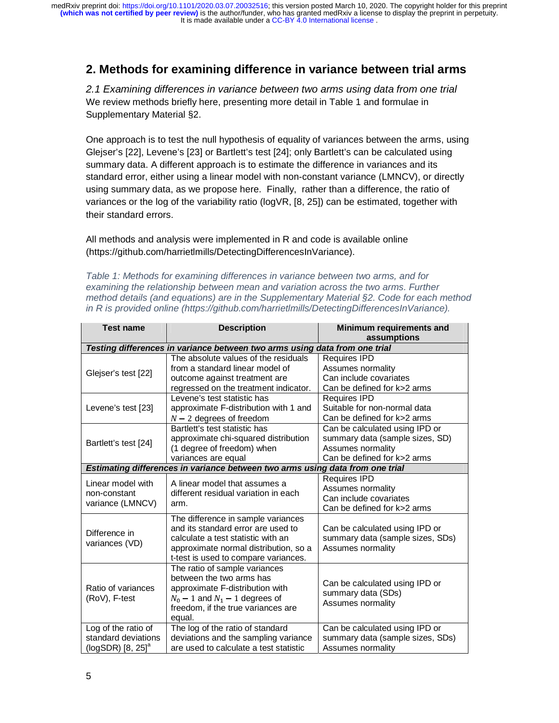## **2. Methods for examining difference in variance between trial arms**

*2.1 Examining differences in variance between two arms using data from one trial*  We review methods briefly here, presenting more detail in Table 1 and formulae in Supplementary Material §2.

One approach is to test the null hypothesis of equality of variances between the arms, using Glejser's [22], Levene's [23] or Bartlett's test [24]; only Bartlett's can be calculated using summary data. A different approach is to estimate the difference in variances and its standard error, either using a linear model with non-constant variance (LMNCV), or directly using summary data, as we propose here. Finally, rather than a difference, the ratio of variances or the log of the variability ratio (logVR, [8, 25]) can be estimated, together with their standard errors.

All methods and analysis were implemented in R and code is available online (https://github.com/harrietlmills/DetectingDifferencesInVariance).

*Table 1: Methods for examining differences in variance between two arms, and for examining the relationship between mean and variation across the two arms. Further method details (and equations) are in the Supplementary Material §2. Code for each method in R is provided online (https://github.com/harrietlmills/DetectingDifferencesInVariance).* 

| <b>Test name</b>                                                                  | <b>Description</b>                                                                                                                                                                              | <b>Minimum requirements and</b><br>assumptions                                                                        |  |  |  |
|-----------------------------------------------------------------------------------|-------------------------------------------------------------------------------------------------------------------------------------------------------------------------------------------------|-----------------------------------------------------------------------------------------------------------------------|--|--|--|
|                                                                                   | Testing differences in variance between two arms using data from one trial                                                                                                                      |                                                                                                                       |  |  |  |
| Glejser's test [22]                                                               | The absolute values of the residuals<br>from a standard linear model of<br>outcome against treatment are<br>regressed on the treatment indicator.                                               | <b>Requires IPD</b><br>Assumes normality<br>Can include covariates<br>Can be defined for k>2 arms                     |  |  |  |
| Levene's test [23]                                                                | Levene's test statistic has<br>approximate F-distribution with 1 and<br>$N-2$ degrees of freedom                                                                                                | <b>Requires IPD</b><br>Suitable for non-normal data<br>Can be defined for k>2 arms                                    |  |  |  |
| Bartlett's test [24]                                                              | Bartlett's test statistic has<br>approximate chi-squared distribution<br>(1 degree of freedom) when<br>variances are equal                                                                      | Can be calculated using IPD or<br>summary data (sample sizes, SD)<br>Assumes normality<br>Can be defined for k>2 arms |  |  |  |
| Estimating differences in variance between two arms using data from one trial     |                                                                                                                                                                                                 |                                                                                                                       |  |  |  |
| Linear model with<br>non-constant<br>variance (LMNCV)                             | A linear model that assumes a<br>different residual variation in each<br>arm.                                                                                                                   | Requires IPD<br>Assumes normality<br>Can include covariates<br>Can be defined for k>2 arms                            |  |  |  |
| Difference in<br>variances (VD)                                                   | The difference in sample variances<br>and its standard error are used to<br>calculate a test statistic with an<br>approximate normal distribution, so a<br>t-test is used to compare variances. | Can be calculated using IPD or<br>summary data (sample sizes, SDs)<br>Assumes normality                               |  |  |  |
| Ratio of variances<br>(RoV), F-test                                               | The ratio of sample variances<br>between the two arms has<br>approximate F-distribution with<br>$N_0 - 1$ and $N_1 - 1$ degrees of<br>freedom, if the true variances are<br>equal.              | Can be calculated using IPD or<br>summary data (SDs)<br>Assumes normality                                             |  |  |  |
| Log of the ratio of<br>standard deviations<br>( $logSDR$ ) $[8, 25]$ <sup>a</sup> | The log of the ratio of standard<br>deviations and the sampling variance<br>are used to calculate a test statistic                                                                              | Can be calculated using IPD or<br>summary data (sample sizes, SDs)<br>Assumes normality                               |  |  |  |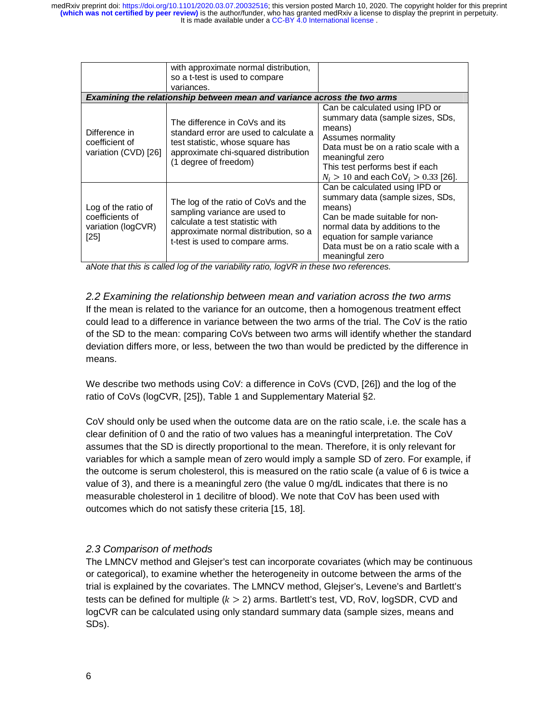It is made available under a CC-BY 4.0 International license. **(which was not certified by peer review)** is the author/funder, who has granted medRxiv a license to display the preprint in perpetuity. medRxiv preprint doi: [https://doi.org/10.1101/2020.03.07.20032516;](https://doi.org/10.1101/2020.03.07.20032516) this version posted March 10, 2020. The copyright holder for this preprint

|                                                                          | with approximate normal distribution,<br>so a t-test is used to compare<br>variances.                                                                                                |                                                                                                                                                                                                                                             |  |  |  |  |
|--------------------------------------------------------------------------|--------------------------------------------------------------------------------------------------------------------------------------------------------------------------------------|---------------------------------------------------------------------------------------------------------------------------------------------------------------------------------------------------------------------------------------------|--|--|--|--|
| Examining the relationship between mean and variance across the two arms |                                                                                                                                                                                      |                                                                                                                                                                                                                                             |  |  |  |  |
| Difference in<br>coefficient of<br>variation (CVD) [26]                  | The difference in CoVs and its<br>standard error are used to calculate a<br>test statistic, whose square has<br>approximate chi-squared distribution<br>(1 degree of freedom)        | Can be calculated using IPD or<br>summary data (sample sizes, SDs,<br>means)<br>Assumes normality<br>Data must be on a ratio scale with a<br>meaningful zero<br>This test performs best if each<br>$N_i > 10$ and each CoV, $> 0.33$ [26].  |  |  |  |  |
| Log of the ratio of<br>coefficients of<br>variation (logCVR)<br>$[25]$   | The log of the ratio of CoVs and the<br>sampling variance are used to<br>calculate a test statistic with<br>approximate normal distribution, so a<br>t-test is used to compare arms. | Can be calculated using IPD or<br>summary data (sample sizes, SDs,<br>means)<br>Can be made suitable for non-<br>normal data by additions to the<br>equation for sample variance<br>Data must be on a ratio scale with a<br>meaningful zero |  |  |  |  |

*aNote that this is called log of the variability ratio, logVR in these two references.* 

*2.2 Examining the relationship between mean and variation across the two arms*  If the mean is related to the variance for an outcome, then a homogenous treatment effect could lead to a difference in variance between the two arms of the trial. The CoV is the ratio of the SD to the mean: comparing CoVs between two arms will identify whether the standard deviation differs more, or less, between the two than would be predicted by the difference in means.

We describe two methods using CoV: a difference in CoVs (CVD, [26]) and the log of the ratio of CoVs (logCVR, [25]), Table 1 and Supplementary Material §2.

CoV should only be used when the outcome data are on the ratio scale, i.e. the scale has a clear definition of 0 and the ratio of two values has a meaningful interpretation. The CoV assumes that the SD is directly proportional to the mean. Therefore, it is only relevant for variables for which a sample mean of zero would imply a sample SD of zero. For example, if the outcome is serum cholesterol, this is measured on the ratio scale (a value of 6 is twice a value of 3), and there is a meaningful zero (the value 0 mg/dL indicates that there is no measurable cholesterol in 1 decilitre of blood). We note that CoV has been used with outcomes which do not satisfy these criteria [15, 18].

#### *2.3 Comparison of methods*

The LMNCV method and Glejser's test can incorporate covariates (which may be continuous or categorical), to examine whether the heterogeneity in outcome between the arms of the trial is explained by the covariates. The LMNCV method, Glejser's, Levene's and Bartlett's tests can be defined for multiple  $(k > 2)$  arms. Bartlett's test, VD, RoV, logSDR, CVD and<br>logCVB can be saleulated using only standard summary data (sample sizes, means and logCVR can be calculated using only standard summary data (sample sizes, means and SDs).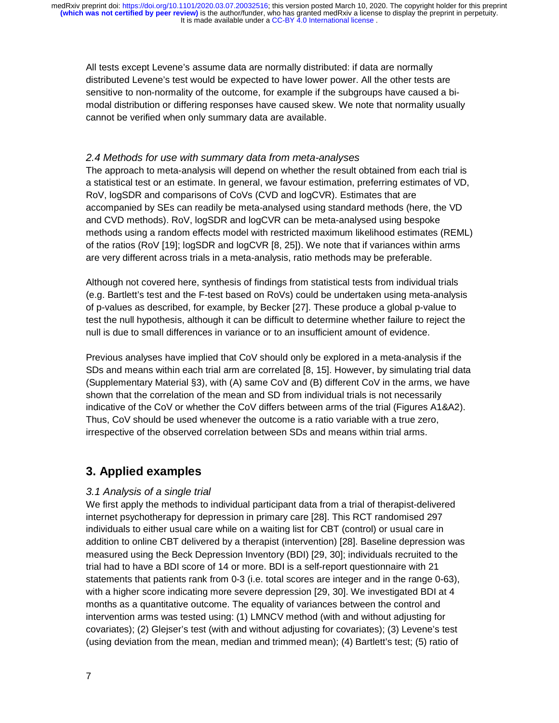All tests except Levene's assume data are normally distributed: if data are normally distributed Levene's test would be expected to have lower power. All the other tests are sensitive to non-normality of the outcome, for example if the subgroups have caused a bimodal distribution or differing responses have caused skew. We note that normality usually cannot be verified when only summary data are available.

#### *2.4 Methods for use with summary data from meta-analyses*

The approach to meta-analysis will depend on whether the result obtained from each trial is a statistical test or an estimate. In general, we favour estimation, preferring estimates of VD, RoV, logSDR and comparisons of CoVs (CVD and logCVR). Estimates that are accompanied by SEs can readily be meta-analysed using standard methods (here, the VD and CVD methods). RoV, logSDR and logCVR can be meta-analysed using bespoke methods using a random effects model with restricted maximum likelihood estimates (REML) of the ratios (RoV [19]; logSDR and logCVR [8, 25]). We note that if variances within arms are very different across trials in a meta-analysis, ratio methods may be preferable.

Although not covered here, synthesis of findings from statistical tests from individual trials (e.g. Bartlett's test and the F-test based on RoVs) could be undertaken using meta-analysis of p-values as described, for example, by Becker [27]. These produce a global p-value to test the null hypothesis, although it can be difficult to determine whether failure to reject the null is due to small differences in variance or to an insufficient amount of evidence.

Previous analyses have implied that CoV should only be explored in a meta-analysis if the SDs and means within each trial arm are correlated [8, 15]. However, by simulating trial data (Supplementary Material §3), with (A) same CoV and (B) different CoV in the arms, we have shown that the correlation of the mean and SD from individual trials is not necessarily indicative of the CoV or whether the CoV differs between arms of the trial (Figures A1&A2). Thus, CoV should be used whenever the outcome is a ratio variable with a true zero, irrespective of the observed correlation between SDs and means within trial arms.

### **3. Applied examples**

#### *3.1 Analysis of a single trial*

We first apply the methods to individual participant data from a trial of therapist-delivered internet psychotherapy for depression in primary care [28]. This RCT randomised 297 individuals to either usual care while on a waiting list for CBT (control) or usual care in addition to online CBT delivered by a therapist (intervention) [28]. Baseline depression was measured using the Beck Depression Inventory (BDI) [29, 30]; individuals recruited to the trial had to have a BDI score of 14 or more. BDI is a self-report questionnaire with 21 statements that patients rank from 0-3 (i.e. total scores are integer and in the range 0-63), with a higher score indicating more severe depression [29, 30]. We investigated BDI at 4 months as a quantitative outcome. The equality of variances between the control and intervention arms was tested using: (1) LMNCV method (with and without adjusting for covariates); (2) Glejser's test (with and without adjusting for covariates); (3) Levene's test (using deviation from the mean, median and trimmed mean); (4) Bartlett's test; (5) ratio of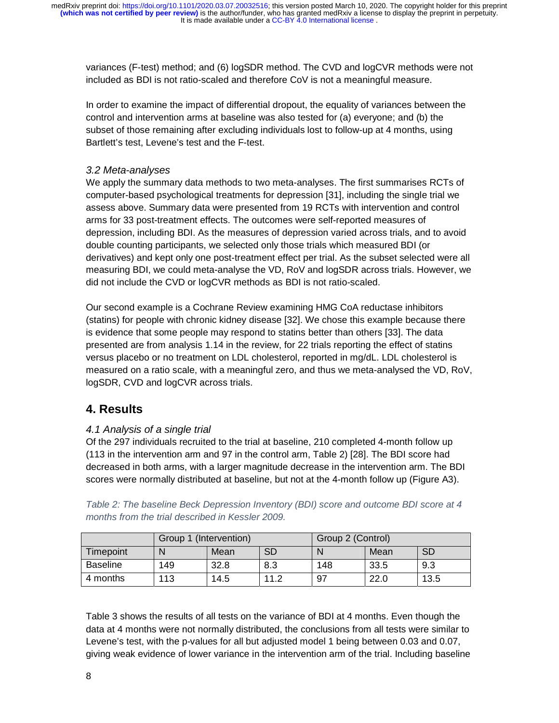variances (F-test) method; and (6) logSDR method. The CVD and logCVR methods were not included as BDI is not ratio-scaled and therefore CoV is not a meaningful measure.

In order to examine the impact of differential dropout, the equality of variances between the control and intervention arms at baseline was also tested for (a) everyone; and (b) the subset of those remaining after excluding individuals lost to follow-up at 4 months, using Bartlett's test, Levene's test and the F-test.

#### *3.2 Meta-analyses*

We apply the summary data methods to two meta-analyses. The first summarises RCTs of computer-based psychological treatments for depression [31], including the single trial we assess above. Summary data were presented from 19 RCTs with intervention and control arms for 33 post-treatment effects. The outcomes were self-reported measures of depression, including BDI. As the measures of depression varied across trials, and to avoid double counting participants, we selected only those trials which measured BDI (or derivatives) and kept only one post-treatment effect per trial. As the subset selected were all measuring BDI, we could meta-analyse the VD, RoV and logSDR across trials. However, we did not include the CVD or logCVR methods as BDI is not ratio-scaled.

Our second example is a Cochrane Review examining HMG CoA reductase inhibitors (statins) for people with chronic kidney disease [32]. We chose this example because there is evidence that some people may respond to statins better than others [33]. The data presented are from analysis 1.14 in the review, for 22 trials reporting the effect of statins versus placebo or no treatment on LDL cholesterol, reported in mg/dL. LDL cholesterol is measured on a ratio scale, with a meaningful zero, and thus we meta-analysed the VD, RoV, logSDR, CVD and logCVR across trials.

### **4. Results**

#### *4.1 Analysis of a single trial*

Of the 297 individuals recruited to the trial at baseline, 210 completed 4-month follow up (113 in the intervention arm and 97 in the control arm, Table 2) [28]. The BDI score had decreased in both arms, with a larger magnitude decrease in the intervention arm. The BDI scores were normally distributed at baseline, but not at the 4-month follow up (Figure A3).

|           | Group 1 (Intervention) |      |     | Group 2 (Control) |      |           |
|-----------|------------------------|------|-----|-------------------|------|-----------|
| Timepoint |                        | Mean | SD  | N                 | Mean | <b>SD</b> |
| Baseline  | 149                    | 32.8 | 8.3 | 148               | 33.5 | 9.3       |
| 4 months  | 113                    | 14.5 | 112 | 97                | 22.0 | 13.5      |

*Table 2: The baseline Beck Depression Inventory (BDI) score and outcome BDI score at 4 months from the trial described in Kessler 2009.* 

Table 3 shows the results of all tests on the variance of BDI at 4 months. Even though the data at 4 months were not normally distributed, the conclusions from all tests were similar to Levene's test, with the p-values for all but adjusted model 1 being between 0.03 and 0.07, giving weak evidence of lower variance in the intervention arm of the trial. Including baseline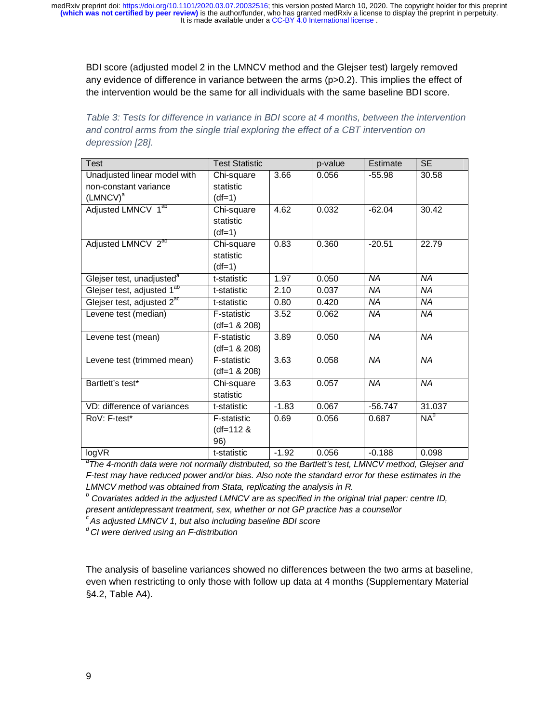BDI score (adjusted model 2 in the LMNCV method and the Glejser test) largely removed any evidence of difference in variance between the arms (p>0.2). This implies the effect of the intervention would be the same for all individuals with the same baseline BDI score.

*Table 3: Tests for difference in variance in BDI score at 4 months, between the intervention and control arms from the single trial exploring the effect of a CBT intervention on depression [28].* 

| <b>Test</b>                                                          | <b>Test Statistic</b>                     |         | p-value | Estimate  | <b>SE</b>       |
|----------------------------------------------------------------------|-------------------------------------------|---------|---------|-----------|-----------------|
| Unadjusted linear model with<br>non-constant variance<br>$(LMNCV)^a$ | Chi-square<br>statistic<br>$(df=1)$       | 3.66    | 0.056   | $-55.98$  | 30.58           |
| Adjusted LMNCV 1 <sup>ab</sup>                                       | Chi-square<br>statistic<br>$(df=1)$       | 4.62    | 0.032   | $-62.04$  | 30.42           |
| Adjusted LMNCV 2 <sup>ac</sup>                                       | Chi-square<br>statistic<br>$(df=1)$       | 0.83    | 0.360   | $-20.51$  | 22.79           |
| Glejser test, unadjusted <sup>a</sup>                                | t-statistic                               | 1.97    | 0.050   | <b>NA</b> | <b>NA</b>       |
| Glejser test, adjusted 1 <sup>ab</sup>                               | t-statistic                               | 2.10    | 0.037   | NA        | NA              |
| Glejser test, adjusted 2 <sup>ac</sup>                               | t-statistic                               | 0.80    | 0.420   | <b>NA</b> | NA              |
| Levene test (median)                                                 | <b>F-statistic</b><br>$(df=1 & 208)$      | 3.52    | 0.062   | <b>NA</b> | <b>NA</b>       |
| Levene test (mean)                                                   | <b>F-statistic</b><br>$(df=1 & 208)$      | 3.89    | 0.050   | <b>NA</b> | <b>NA</b>       |
| Levene test (trimmed mean)                                           | <b>F-statistic</b><br>$(df=1 & 208)$      | 3.63    | 0.058   | <b>NA</b> | $\overline{N}A$ |
| Bartlett's test*                                                     | Chi-square<br>statistic                   | 3.63    | 0.057   | <b>NA</b> | <b>NA</b>       |
| VD: difference of variances                                          | t-statistic                               | $-1.83$ | 0.067   | $-56.747$ | 31.037          |
| RoV: F-test*                                                         | <b>F-statistic</b><br>$(df=112 \&$<br>96) | 0.69    | 0.056   | 0.687     | $NA^d$          |
| logVR                                                                | t-statistic                               | $-1.92$ | 0.056   | $-0.188$  | 0.098           |

*a The 4-month data were not normally distributed, so the Bartlett's test, LMNCV method, Glejser and F-test may have reduced power and/or bias. Also note the standard error for these estimates in the LMNCV method was obtained from Stata, replicating the analysis in R.* 

*b Covariates added in the adjusted LMNCV are as specified in the original trial paper: centre ID, present antidepressant treatment, sex, whether or not GP practice has a counsellor* 

*c As adjusted LMNCV 1, but also including baseline BDI score* 

*d CI were derived using an F-distribution* 

The analysis of baseline variances showed no differences between the two arms at baseline, even when restricting to only those with follow up data at 4 months (Supplementary Material §4.2, Table A4).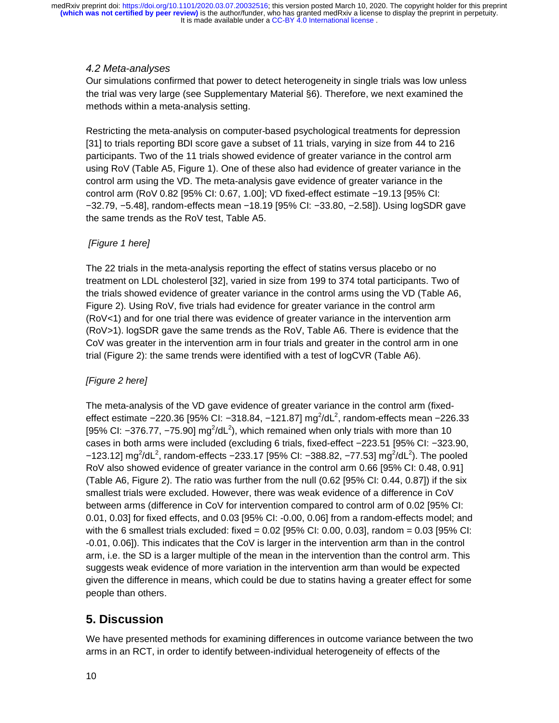#### *4.2 Meta-analyses*

Our simulations confirmed that power to detect heterogeneity in single trials was low unless the trial was very large (see Supplementary Material §6). Therefore, we next examined the methods within a meta-analysis setting.

Restricting the meta-analysis on computer-based psychological treatments for depression [31] to trials reporting BDI score gave a subset of 11 trials, varying in size from 44 to 216 participants. Two of the 11 trials showed evidence of greater variance in the control arm using RoV (Table A5, Figure 1). One of these also had evidence of greater variance in the control arm using the VD. The meta-analysis gave evidence of greater variance in the control arm (RoV 0.82 [95% CI: 0.67, 1.00]; VD fixed-effect estimate −19.13 [95% CI: −32.79, −5.48], random-effects mean −18.19 [95% CI: −33.80, −2.58]). Using logSDR gave the same trends as the RoV test, Table A5.

#### *[Figure 1 here]*

The 22 trials in the meta-analysis reporting the effect of statins versus placebo or no treatment on LDL cholesterol [32], varied in size from 199 to 374 total participants. Two of the trials showed evidence of greater variance in the control arms using the VD (Table A6, Figure 2). Using RoV, five trials had evidence for greater variance in the control arm (RoV<1) and for one trial there was evidence of greater variance in the intervention arm (RoV>1). logSDR gave the same trends as the RoV, Table A6. There is evidence that the CoV was greater in the intervention arm in four trials and greater in the control arm in one trial (Figure 2): the same trends were identified with a test of logCVR (Table A6).

#### *[Figure 2 here]*

The meta-analysis of the VD gave evidence of greater variance in the control arm (fixedeffect estimate -220.36 [95% CI: -318.84, -121.87] mg<sup>2</sup>/dL<sup>2</sup>, random-effects mean -226.33 [95% CI:  $-376.77$ ,  $-75.90$ ] mg<sup>2</sup>/dL<sup>2</sup>), which remained when only trials with more than 10 cases in both arms were included (excluding 6 trials, fixed-effect −223.51 [95% CI: −323.90,  $-123.12$ ] mg<sup>2</sup>/dL<sup>2</sup>, random-effects  $-233.17$  [95% CI:  $-388.82$ ,  $-77.53$ ] mg<sup>2</sup>/dL<sup>2</sup>). The pooled RoV also showed evidence of greater variance in the control arm 0.66 [95% CI: 0.48, 0.91] (Table A6, Figure 2). The ratio was further from the null (0.62 [95% CI: 0.44, 0.87]) if the six smallest trials were excluded. However, there was weak evidence of a difference in CoV between arms (difference in CoV for intervention compared to control arm of 0.02 [95% CI: 0.01, 0.03] for fixed effects, and 0.03 [95% CI: -0.00, 0.06] from a random-effects model; and with the 6 smallest trials excluded: fixed = 0.02 [95% CI: 0.00, 0.03], random = 0.03 [95% CI: -0.01, 0.06]). This indicates that the CoV is larger in the intervention arm than in the control arm, i.e. the SD is a larger multiple of the mean in the intervention than the control arm. This suggests weak evidence of more variation in the intervention arm than would be expected given the difference in means, which could be due to statins having a greater effect for some people than others.

### **5. Discussion**

We have presented methods for examining differences in outcome variance between the two arms in an RCT, in order to identify between-individual heterogeneity of effects of the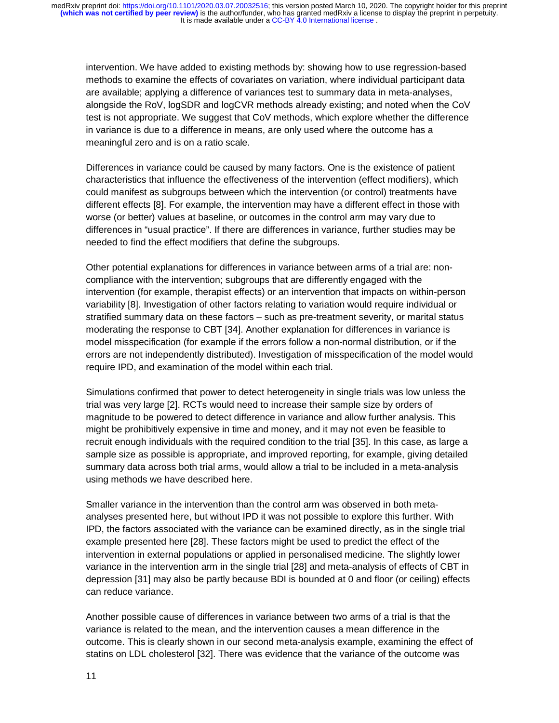intervention. We have added to existing methods by: showing how to use regression-based methods to examine the effects of covariates on variation, where individual participant data are available; applying a difference of variances test to summary data in meta-analyses, alongside the RoV, logSDR and logCVR methods already existing; and noted when the CoV test is not appropriate. We suggest that CoV methods, which explore whether the difference in variance is due to a difference in means, are only used where the outcome has a meaningful zero and is on a ratio scale.

Differences in variance could be caused by many factors. One is the existence of patient characteristics that influence the effectiveness of the intervention (effect modifiers), which could manifest as subgroups between which the intervention (or control) treatments have different effects [8]. For example, the intervention may have a different effect in those with worse (or better) values at baseline, or outcomes in the control arm may vary due to differences in "usual practice". If there are differences in variance, further studies may be needed to find the effect modifiers that define the subgroups.

Other potential explanations for differences in variance between arms of a trial are: noncompliance with the intervention; subgroups that are differently engaged with the intervention (for example, therapist effects) or an intervention that impacts on within-person variability [8]. Investigation of other factors relating to variation would require individual or stratified summary data on these factors – such as pre-treatment severity, or marital status moderating the response to CBT [34]. Another explanation for differences in variance is model misspecification (for example if the errors follow a non-normal distribution, or if the errors are not independently distributed). Investigation of misspecification of the model would require IPD, and examination of the model within each trial.

Simulations confirmed that power to detect heterogeneity in single trials was low unless the trial was very large [2]. RCTs would need to increase their sample size by orders of magnitude to be powered to detect difference in variance and allow further analysis. This might be prohibitively expensive in time and money, and it may not even be feasible to recruit enough individuals with the required condition to the trial [35]. In this case, as large a sample size as possible is appropriate, and improved reporting, for example, giving detailed summary data across both trial arms, would allow a trial to be included in a meta-analysis using methods we have described here.

Smaller variance in the intervention than the control arm was observed in both metaanalyses presented here, but without IPD it was not possible to explore this further. With IPD, the factors associated with the variance can be examined directly, as in the single trial example presented here [28]. These factors might be used to predict the effect of the intervention in external populations or applied in personalised medicine. The slightly lower variance in the intervention arm in the single trial [28] and meta-analysis of effects of CBT in depression [31] may also be partly because BDI is bounded at 0 and floor (or ceiling) effects can reduce variance.

Another possible cause of differences in variance between two arms of a trial is that the variance is related to the mean, and the intervention causes a mean difference in the outcome. This is clearly shown in our second meta-analysis example, examining the effect of statins on LDL cholesterol [32]. There was evidence that the variance of the outcome was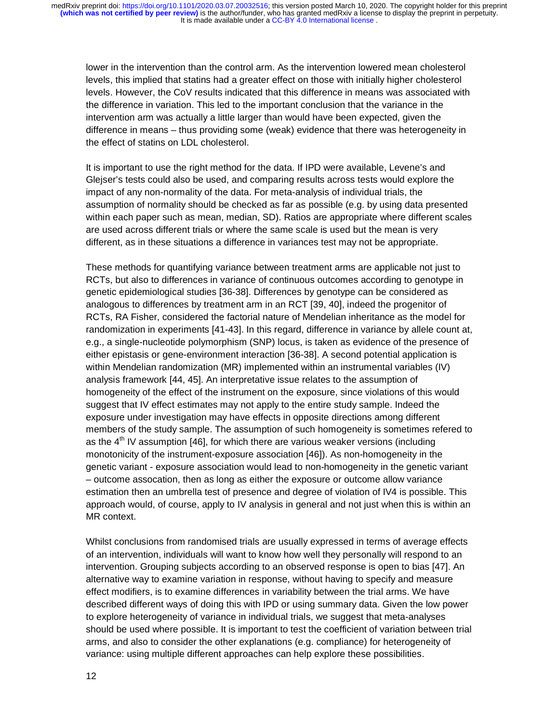lower in the intervention than the control arm. As the intervention lowered mean cholesterol levels, this implied that statins had a greater effect on those with initially higher cholesterol levels. However, the CoV results indicated that this difference in means was associated with the difference in variation. This led to the important conclusion that the variance in the intervention arm was actually a little larger than would have been expected, given the difference in means – thus providing some (weak) evidence that there was heterogeneity in the effect of statins on LDL cholesterol.

It is important to use the right method for the data. If IPD were available, Levene's and Glejser's tests could also be used, and comparing results across tests would explore the impact of any non-normality of the data. For meta-analysis of individual trials, the assumption of normality should be checked as far as possible (e.g. by using data presented within each paper such as mean, median, SD). Ratios are appropriate where different scales are used across different trials or where the same scale is used but the mean is very different, as in these situations a difference in variances test may not be appropriate.

These methods for quantifying variance between treatment arms are applicable not just to RCTs, but also to differences in variance of continuous outcomes according to genotype in genetic epidemiological studies [36-38]. Differences by genotype can be considered as analogous to differences by treatment arm in an RCT [39, 40], indeed the progenitor of RCTs, RA Fisher, considered the factorial nature of Mendelian inheritance as the model for randomization in experiments [41-43]. In this regard, difference in variance by allele count at, e.g., a single-nucleotide polymorphism (SNP) locus, is taken as evidence of the presence of either epistasis or gene-environment interaction [36-38]. A second potential application is within Mendelian randomization (MR) implemented within an instrumental variables (IV) analysis framework [44, 45]. An interpretative issue relates to the assumption of homogeneity of the effect of the instrument on the exposure, since violations of this would suggest that IV effect estimates may not apply to the entire study sample. Indeed the exposure under investigation may have effects in opposite directions among different members of the study sample. The assumption of such homogeneity is sometimes refered to as the  $4<sup>th</sup>$  IV assumption [46], for which there are various weaker versions (including monotonicity of the instrument-exposure association [46]). As non-homogeneity in the genetic variant - exposure association would lead to non-homogeneity in the genetic variant – outcome assocation, then as long as either the exposure or outcome allow variance estimation then an umbrella test of presence and degree of violation of IV4 is possible. This approach would, of course, apply to IV analysis in general and not just when this is within an MR context.

Whilst conclusions from randomised trials are usually expressed in terms of average effects of an intervention, individuals will want to know how well they personally will respond to an intervention. Grouping subjects according to an observed response is open to bias [47]. An alternative way to examine variation in response, without having to specify and measure effect modifiers, is to examine differences in variability between the trial arms. We have described different ways of doing this with IPD or using summary data. Given the low power to explore heterogeneity of variance in individual trials, we suggest that meta-analyses should be used where possible. It is important to test the coefficient of variation between trial arms, and also to consider the other explanations (e.g. compliance) for heterogeneity of variance: using multiple different approaches can help explore these possibilities.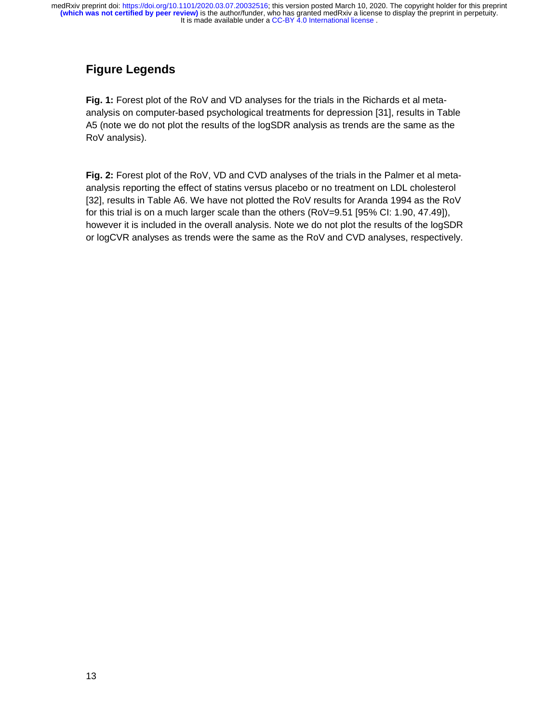# **Figure Legends**

**Fig. 1:** Forest plot of the RoV and VD analyses for the trials in the Richards et al metaanalysis on computer-based psychological treatments for depression [31], results in Table A5 (note we do not plot the results of the logSDR analysis as trends are the same as the RoV analysis).

**Fig. 2:** Forest plot of the RoV, VD and CVD analyses of the trials in the Palmer et al metaanalysis reporting the effect of statins versus placebo or no treatment on LDL cholesterol [32], results in Table A6. We have not plotted the RoV results for Aranda 1994 as the RoV for this trial is on a much larger scale than the others (RoV=9.51 [95% CI: 1.90, 47.49]), however it is included in the overall analysis. Note we do not plot the results of the logSDR or logCVR analyses as trends were the same as the RoV and CVD analyses, respectively.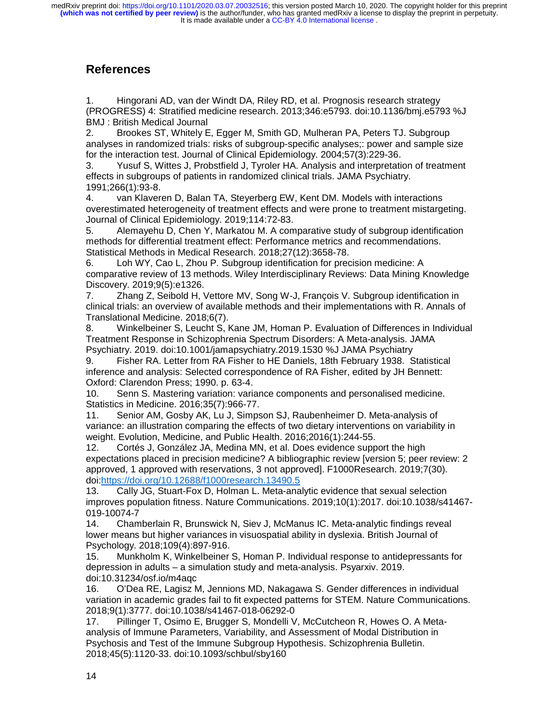# **References**

1. Hingorani AD, van der Windt DA, Riley RD, et al. Prognosis research strategy (PROGRESS) 4: Stratified medicine research. 2013;346:e5793. doi:10.1136/bmj.e5793 %J BMJ : British Medical Journal

2. Brookes ST, Whitely E, Egger M, Smith GD, Mulheran PA, Peters TJ. Subgroup analyses in randomized trials: risks of subgroup-specific analyses;: power and sample size for the interaction test. Journal of Clinical Epidemiology. 2004;57(3):229-36.

3. Yusuf S, Wittes J, Probstfield J, Tyroler HA. Analysis and interpretation of treatment effects in subgroups of patients in randomized clinical trials. JAMA Psychiatry. 1991;266(1):93-8.

4. van Klaveren D, Balan TA, Steyerberg EW, Kent DM. Models with interactions overestimated heterogeneity of treatment effects and were prone to treatment mistargeting. Journal of Clinical Epidemiology. 2019;114:72-83.

5. Alemayehu D, Chen Y, Markatou M. A comparative study of subgroup identification methods for differential treatment effect: Performance metrics and recommendations. Statistical Methods in Medical Research. 2018;27(12):3658-78.

6. Loh WY, Cao L, Zhou P. Subgroup identification for precision medicine: A comparative review of 13 methods. Wiley Interdisciplinary Reviews: Data Mining Knowledge Discovery. 2019;9(5):e1326.

7. Zhang Z, Seibold H, Vettore MV, Song W-J, François V. Subgroup identification in clinical trials: an overview of available methods and their implementations with R. Annals of Translational Medicine. 2018;6(7).

8. Winkelbeiner S, Leucht S, Kane JM, Homan P. Evaluation of Differences in Individual Treatment Response in Schizophrenia Spectrum Disorders: A Meta-analysis. JAMA Psychiatry. 2019. doi:10.1001/jamapsychiatry.2019.1530 %J JAMA Psychiatry

9. Fisher RA. Letter from RA Fisher to HE Daniels, 18th February 1938. Statistical inference and analysis: Selected correspondence of RA Fisher, edited by JH Bennett: Oxford: Clarendon Press; 1990. p. 63-4.

10. Senn S. Mastering variation: variance components and personalised medicine. Statistics in Medicine. 2016;35(7):966-77.

11. Senior AM, Gosby AK, Lu J, Simpson SJ, Raubenheimer D. Meta-analysis of variance: an illustration comparing the effects of two dietary interventions on variability in weight. Evolution, Medicine, and Public Health. 2016;2016(1):244-55.

12. Cortés J, González JA, Medina MN, et al. Does evidence support the high expectations placed in precision medicine? A bibliographic review [version 5; peer review: 2 approved, 1 approved with reservations, 3 not approved]. F1000Research. 2019;7(30). doi:https://doi.org/10.12688/f1000research.13490.5

13. Cally JG, Stuart-Fox D, Holman L. Meta-analytic evidence that sexual selection improves population fitness. Nature Communications. 2019;10(1):2017. doi:10.1038/s41467- 019-10074-7

14. Chamberlain R, Brunswick N, Siev J, McManus IC. Meta14. Chamberlain R, Brunswick N, Siev J, McManus IC. Meta-analytic findings reveal<br>lower means but higher variances in visuospatial ability in dyslexia. British Journal of<br>Psychology. 2018;109(4):897-916.<br>15. Munkholm K, Wi lower means but higher variances in visuospatial ability in dyslexia. British Journal of Psychology. 2018;109(4):897-916.

depression in adults – a simulation study and meta-analysis. Psyarxiv. 2019. doi:10.31234/osf.io/m4aqc

16. O'Dea RE, Lagisz M, Jennions MD, Nakagawa S. Gender differences in individual variation in academic grades fail to fit expected patterns for STEM. Nature Communications. 2018;9(1):3777. doi:10.1038/s41467-018-06292-0

17. Pillinger T, Osimo E, Brugger S, Mondelli V, McCutcheon R, Howes O. A Metaanalysis of Immune Parameters, Variability, and Assessment of Modal Distribution in Psychosis and Test of the Immune Subgroup Hypothesis. Schizophrenia Bulletin. 2018;45(5):1120-33. doi:10.1093/schbul/sby160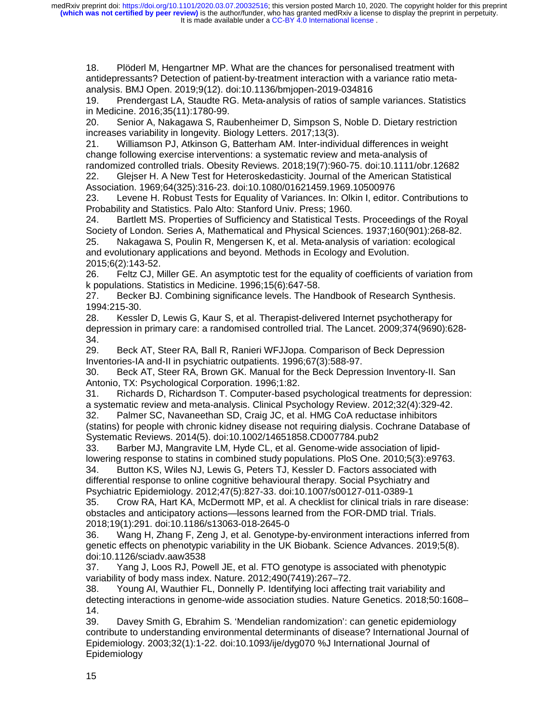18. Plöderl M, Hengartner MP. What are the chances for personalised treatment with antidepressants? Detection of patient-by-treatment interaction with a variance ratio metaanalysis. BMJ Open. 2019;9(12). doi:10.1136/bmjopen-2019-034816

19. Prendergast LA, Staudte RG. Meta-analysis of ratios of sample variances. Statistics in Medicine. 2016;35(11):1780-99.

-analysis of ratios of sample variances. Statistics<br>mer D, Simpson S, Noble D. Dietary restriction<br>etters. 2017;13(3).<br>cm AM later industriation differences in weight 20. Senior A, Nakagawa S, Raubenheimer D, Simpson S, Noble D. Dietary restriction increases variability in longevity. Biology Letters. 2017;13(3).

21. Williamson PJ, Atkinson G, Batterham AM. Inter-individual differences in weight change following exercise interventions: a systematic review and meta-analysis of randomized controlled trials. Obesity Reviews. 2018;19(7):960-75. doi:10.1111/obr.12682

22. Glejser H. A New Test for Heteroskedasticity. Journal of the American Statistical Association. 1969;64(325):316-23. doi:10.1080/01621459.1969.10500976

23. Levene H. Robust Tests for Equality of Variances. In: Olkin I, editor. Contributions to Probability and Statistics. Palo Alto: Stanford Univ. Press; 1960.

24. Bartlett MS. Properties of Sufficiency and Statistical Tests. Proceedings of the Royal Society of London. Series A, Mathematical and Physical Sciences. 1937;160(901):268-82.

25. Nakagawa S, Poulin R, Mengersen K, et al. Meta-analysis of variation: ecological 25. Nakagawa S, Poulin R, Mengersen K, et al. Meta-analysis of variation: ecological<br>and evolutionary applications and beyond. Methods in Ecology and Evolution.<br>2015;6(2):143-52.<br>26. Feltz CJ, Miller GE. An asymptotic test and evolutionary applications and beyond. Methods in Ecology and Evolution. 2015;6(2):143-52.

k populations. Statistics in Medicine. 1996;15(6):647-58.

27. Becker BJ. Combining significance levels. The Handbook of Research Synthesis. 1994:215-30.

28. Kessler D, Lewis G, Kaur S, et al. Therapist-delivered Internet psychotherapy for depression in primary care: a randomised controlled trial. The Lancet. 2009;374(9690):628- 34.

29. Beck AT, Steer RA, Ball R, Ranieri WFJJopa. Comparison of Beck Depression Inventories-IA and-II in psychiatric outpatients. 1996;67(3):588-97.

30. Beck AT, Steer RA, Brown GK. Manual for the Beck Depression Inventory-II. San Antonio, TX: Psychological Corporation. 1996;1:82.

31. Richards D, Richardson T. Computer-based psychological treatments for depression: a systematic review and meta-analysis. Clinical Psychology Review. 2012;32(4):329-42.

32. Palmer SC, Navaneethan SD, Craig JC, et al. HMG CoA reductase inhibitors (statins) for people with chronic kidney disease not requiring dialysis. Cochrane Database of Systematic Reviews. 2014(5). doi:10.1002/14651858.CD007784.pub2

33. Barber MJ, Mangravite LM, Hyde CL, et al. Genome-wide association of lipidlowering response to statins in combined study populations. PloS One. 2010;5(3):e9763.

34. Button KS, Wiles NJ, Lewis G, Peters TJ, Kessler D. Factors associated with differential response to online cognitive behavioural therapy. Social Psychiatry and Psychiatric Epidemiology. 2012;47(5):827-33. doi:10.1007/s00127-011-0389-1

35. Crow RA, Hart KA, McDermott MP, et al. A checklist for clinical trials in rare disease: obstacles and anticipatory actions—lessons learned from the FOR-DMD trial. Trials. 2018;19(1):291. doi:10.1186/s13063-018-2645-0

36. Wang H, Zhang F, Zeng J, et al. Genotype-by-environment interactions inferred from genetic effects on phenotypic variability in the UK Biobank. Science Advances. 2019;5(8). doi:10.1126/sciadv.aaw3538

37. Yang J, Loos RJ, Powell JE, et al. FTO genotype is associated with phenotypic variability of body mass index. Nature. 2012;490(7419):267–72.

38. Young AI, Wauthier FL, Donnelly P. Identifying loci affecting trait variability and detecting interactions in genome-wide association studies. Nature Genetics. 2018;50:1608– 14.

39. Davey Smith G, Ebrahim S. 'Mendelian randomization': can genetic epidemiology contribute to understanding environmental determinants of disease? International Journal of Epidemiology. 2003;32(1):1-22. doi:10.1093/ije/dyg070 %J International Journal of Epidemiology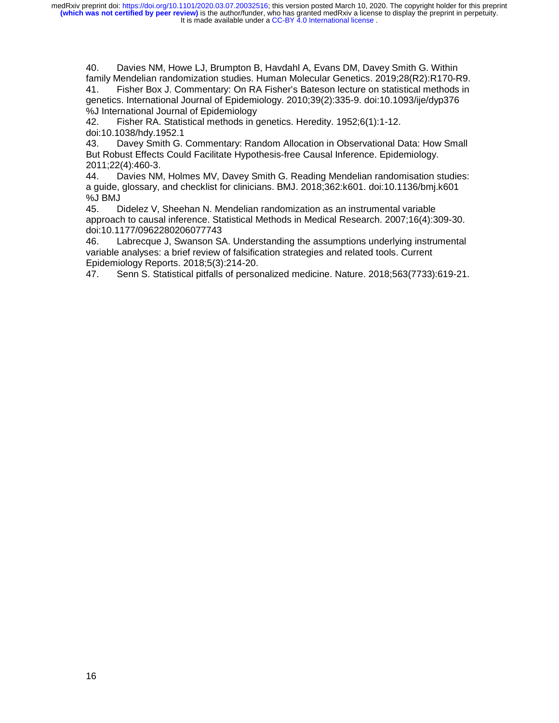It is made available under a CC-BY 4.0 International license. **(which was not certified by peer review)** is the author/funder, who has granted medRxiv a license to display the preprint in perpetuity. medRxiv preprint doi: [https://doi.org/10.1101/2020.03.07.20032516;](https://doi.org/10.1101/2020.03.07.20032516) this version posted March 10, 2020. The copyright holder for this preprint

40. Davies NM, Howe LJ, Brumpton B, Havdahl A, Evans DM, Davey Smith G. Within family Mendelian randomization studies. Human Molecular Genetics. 2019;28(R2):R170-R9. 41. Fisher Box J. Commentary: On RA Fisher's Bateson lecture on statistical methods in genetics. International Journal of Epidemiology. 2010;39(2):335-9. doi:10.1093/ije/dyp376 %J International Journal of Epidemiology

42. Fisher RA. Statistical methods in genetics. Heredity. 1952;6(1):1-12. doi:10.1038/hdy.1952.1

43. Davey Smith G. Commentary: Random Allocation in Observational Data: How Small But Robust Effects Could Facilitate Hypothesis-free Causal Inference. Epidemiology. 2011;22(4):460-3.

44. Davies NM, Holmes MV, Davey Smith G. Reading Mendelian randomisation studies: a guide, glossary, and checklist for clinicians. BMJ. 2018;362:k601. doi:10.1136/bmj.k601 %J BMJ

45. Didelez V, Sheehan N. Mendelian randomization as an instrumental variable approach to causal inference. Statistical Methods in Medical Research. 2007;16(4):309-30. doi:10.1177/0962280206077743

46. Labrecque J, Swanson SA. Understanding the assumptions underlying instrumental variable analyses: a brief review of falsification strategies and related tools. Current Epidemiology Reports. 2018;5(3):214-20.

47. Senn S. Statistical pitfalls of personalized medicine. Nature. 2018;563(7733):619-21.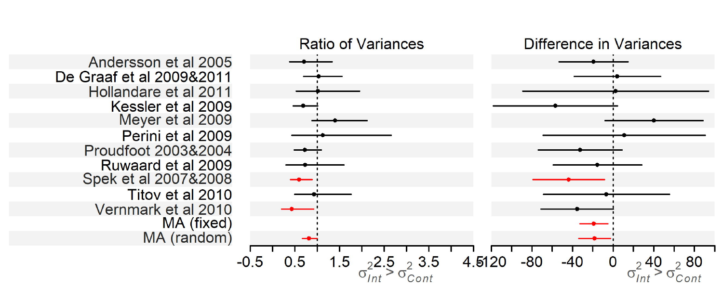